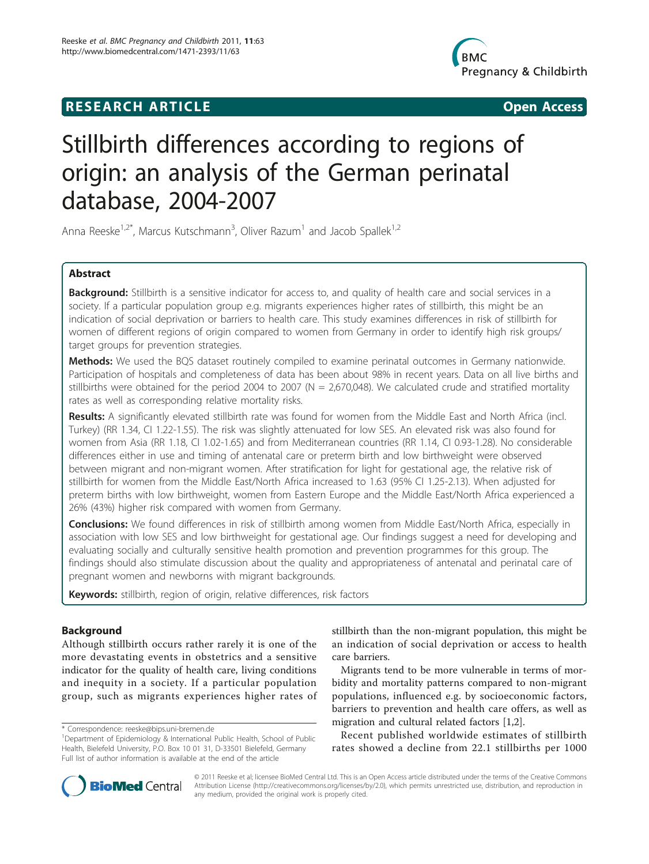## **RESEARCH ARTICLE Example 2018 12:00 Open Access**



# Stillbirth differences according to regions of origin: an analysis of the German perinatal database, 2004-2007

Anna Reeske<sup>1,2\*</sup>, Marcus Kutschmann<sup>3</sup>, Oliver Razum<sup>1</sup> and Jacob Spallek<sup>1,2</sup>

## Abstract

Background: Stillbirth is a sensitive indicator for access to, and quality of health care and social services in a society. If a particular population group e.g. migrants experiences higher rates of stillbirth, this might be an indication of social deprivation or barriers to health care. This study examines differences in risk of stillbirth for women of different regions of origin compared to women from Germany in order to identify high risk groups/ target groups for prevention strategies.

Methods: We used the BQS dataset routinely compiled to examine perinatal outcomes in Germany nationwide. Participation of hospitals and completeness of data has been about 98% in recent years. Data on all live births and stillbirths were obtained for the period 2004 to 2007 ( $N = 2.670,048$ ). We calculated crude and stratified mortality rates as well as corresponding relative mortality risks.

Results: A significantly elevated stillbirth rate was found for women from the Middle East and North Africa (incl. Turkey) (RR 1.34, CI 1.22-1.55). The risk was slightly attenuated for low SES. An elevated risk was also found for women from Asia (RR 1.18, CI 1.02-1.65) and from Mediterranean countries (RR 1.14, CI 0.93-1.28). No considerable differences either in use and timing of antenatal care or preterm birth and low birthweight were observed between migrant and non-migrant women. After stratification for light for gestational age, the relative risk of stillbirth for women from the Middle East/North Africa increased to 1.63 (95% CI 1.25-2.13). When adjusted for preterm births with low birthweight, women from Eastern Europe and the Middle East/North Africa experienced a 26% (43%) higher risk compared with women from Germany.

**Conclusions:** We found differences in risk of stillbirth among women from Middle East/North Africa, especially in association with low SES and low birthweight for gestational age. Our findings suggest a need for developing and evaluating socially and culturally sensitive health promotion and prevention programmes for this group. The findings should also stimulate discussion about the quality and appropriateness of antenatal and perinatal care of pregnant women and newborns with migrant backgrounds.

Keywords: stillbirth, region of origin, relative differences, risk factors

## Background

Although stillbirth occurs rather rarely it is one of the more devastating events in obstetrics and a sensitive indicator for the quality of health care, living conditions and inequity in a society. If a particular population group, such as migrants experiences higher rates of stillbirth than the non-migrant population, this might be an indication of social deprivation or access to health care barriers.

Migrants tend to be more vulnerable in terms of morbidity and mortality patterns compared to non-migrant populations, influenced e.g. by socioeconomic factors, barriers to prevention and health care offers, as well as migration and cultural related factors [[1,2\]](#page-8-0).

Recent published worldwide estimates of stillbirth rates showed a decline from 22.1 stillbirths per 1000



© 2011 Reeske et al; licensee BioMed Central Ltd. This is an Open Access article distributed under the terms of the Creative Commons Attribution License [\(http://creativecommons.org/licenses/by/2.0](http://creativecommons.org/licenses/by/2.0)), which permits unrestricted use, distribution, and reproduction in any medium, provided the original work is properly cited.

<sup>\*</sup> Correspondence: [reeske@bips.uni-bremen.de](mailto:reeske@bips.uni-bremen.de)

<sup>&</sup>lt;sup>1</sup>Department of Epidemiology & International Public Health, School of Public Health, Bielefeld University, P.O. Box 10 01 31, D-33501 Bielefeld, Germany Full list of author information is available at the end of the article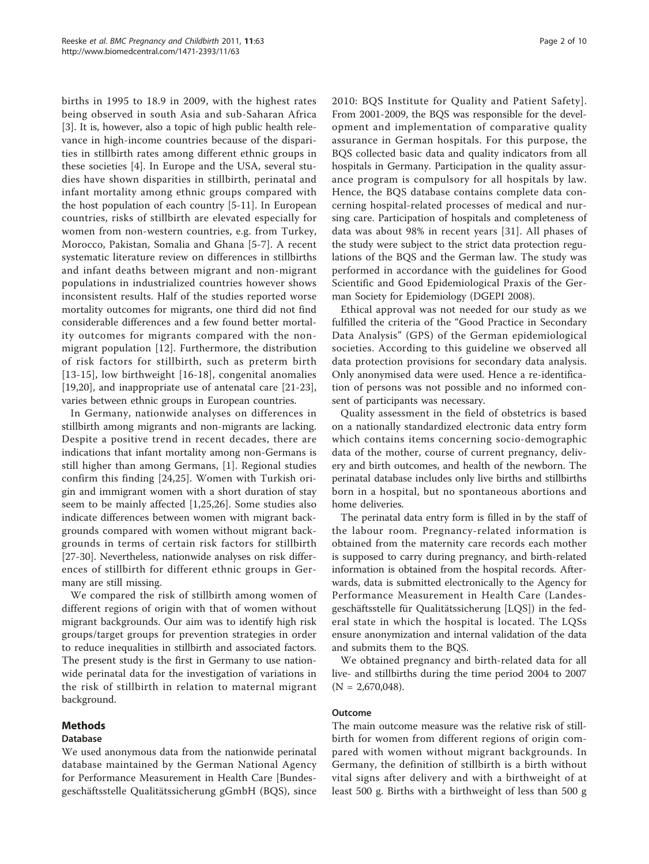births in 1995 to 18.9 in 2009, with the highest rates being observed in south Asia and sub-Saharan Africa [[3\]](#page-8-0). It is, however, also a topic of high public health relevance in high-income countries because of the disparities in stillbirth rates among different ethnic groups in these societies [\[4](#page-8-0)]. In Europe and the USA, several studies have shown disparities in stillbirth, perinatal and infant mortality among ethnic groups compared with the host population of each country [\[5](#page-8-0)-[11\]](#page-8-0). In European countries, risks of stillbirth are elevated especially for women from non-western countries, e.g. from Turkey, Morocco, Pakistan, Somalia and Ghana [[5](#page-8-0)-[7\]](#page-8-0). A recent systematic literature review on differences in stillbirths and infant deaths between migrant and non-migrant populations in industrialized countries however shows inconsistent results. Half of the studies reported worse mortality outcomes for migrants, one third did not find considerable differences and a few found better mortality outcomes for migrants compared with the nonmigrant population [[12\]](#page-8-0). Furthermore, the distribution of risk factors for stillbirth, such as preterm birth [[13](#page-8-0)-[15](#page-9-0)], low birthweight [[16-18\]](#page-9-0), congenital anomalies [[19,20\]](#page-9-0), and inappropriate use of antenatal care [[21-23](#page-9-0)], varies between ethnic groups in European countries.

In Germany, nationwide analyses on differences in stillbirth among migrants and non-migrants are lacking. Despite a positive trend in recent decades, there are indications that infant mortality among non-Germans is still higher than among Germans, [\[1](#page-8-0)]. Regional studies confirm this finding [\[24,25\]](#page-9-0). Women with Turkish origin and immigrant women with a short duration of stay seem to be mainly affected [[1](#page-8-0)[,25](#page-9-0),[26\]](#page-9-0). Some studies also indicate differences between women with migrant backgrounds compared with women without migrant backgrounds in terms of certain risk factors for stillbirth [[27-30\]](#page-9-0). Nevertheless, nationwide analyses on risk differences of stillbirth for different ethnic groups in Germany are still missing.

We compared the risk of stillbirth among women of different regions of origin with that of women without migrant backgrounds. Our aim was to identify high risk groups/target groups for prevention strategies in order to reduce inequalities in stillbirth and associated factors. The present study is the first in Germany to use nationwide perinatal data for the investigation of variations in the risk of stillbirth in relation to maternal migrant background.

#### Methods

## Database

We used anonymous data from the nationwide perinatal database maintained by the German National Agency for Performance Measurement in Health Care [Bundesgeschäftsstelle Qualitätssicherung gGmbH (BQS), since 2010: BQS Institute for Quality and Patient Safety]. From 2001-2009, the BQS was responsible for the development and implementation of comparative quality assurance in German hospitals. For this purpose, the BQS collected basic data and quality indicators from all hospitals in Germany. Participation in the quality assurance program is compulsory for all hospitals by law. Hence, the BQS database contains complete data concerning hospital-related processes of medical and nursing care. Participation of hospitals and completeness of data was about 98% in recent years [[31\]](#page-9-0). All phases of the study were subject to the strict data protection regulations of the BQS and the German law. The study was performed in accordance with the guidelines for Good Scientific and Good Epidemiological Praxis of the German Society for Epidemiology (DGEPI 2008).

Ethical approval was not needed for our study as we fulfilled the criteria of the "Good Practice in Secondary Data Analysis" (GPS) of the German epidemiological societies. According to this guideline we observed all data protection provisions for secondary data analysis. Only anonymised data were used. Hence a re-identification of persons was not possible and no informed consent of participants was necessary.

Quality assessment in the field of obstetrics is based on a nationally standardized electronic data entry form which contains items concerning socio-demographic data of the mother, course of current pregnancy, delivery and birth outcomes, and health of the newborn. The perinatal database includes only live births and stillbirths born in a hospital, but no spontaneous abortions and home deliveries.

The perinatal data entry form is filled in by the staff of the labour room. Pregnancy-related information is obtained from the maternity care records each mother is supposed to carry during pregnancy, and birth-related information is obtained from the hospital records. Afterwards, data is submitted electronically to the Agency for Performance Measurement in Health Care (Landesgeschäftsstelle für Qualitätssicherung [LQS]) in the federal state in which the hospital is located. The LQSs ensure anonymization and internal validation of the data and submits them to the BQS.

We obtained pregnancy and birth-related data for all live- and stillbirths during the time period 2004 to 2007  $(N = 2,670,048).$ 

#### Outcome

The main outcome measure was the relative risk of stillbirth for women from different regions of origin compared with women without migrant backgrounds. In Germany, the definition of stillbirth is a birth without vital signs after delivery and with a birthweight of at least 500 g. Births with a birthweight of less than 500 g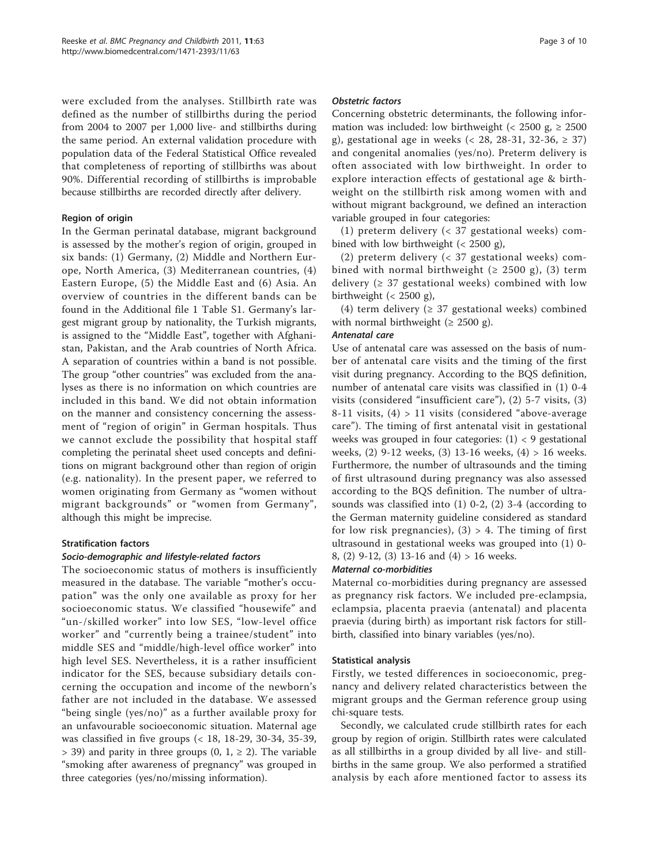were excluded from the analyses. Stillbirth rate was defined as the number of stillbirths during the period from 2004 to 2007 per 1,000 live- and stillbirths during the same period. An external validation procedure with population data of the Federal Statistical Office revealed that completeness of reporting of stillbirths was about 90%. Differential recording of stillbirths is improbable because stillbirths are recorded directly after delivery.

#### Region of origin

In the German perinatal database, migrant background is assessed by the mother's region of origin, grouped in six bands: (1) Germany, (2) Middle and Northern Europe, North America, (3) Mediterranean countries, (4) Eastern Europe, (5) the Middle East and (6) Asia. An overview of countries in the different bands can be found in the Additional file [1](#page-8-0) Table S1. Germany's largest migrant group by nationality, the Turkish migrants, is assigned to the "Middle East", together with Afghanistan, Pakistan, and the Arab countries of North Africa. A separation of countries within a band is not possible. The group "other countries" was excluded from the analyses as there is no information on which countries are included in this band. We did not obtain information on the manner and consistency concerning the assessment of "region of origin" in German hospitals. Thus we cannot exclude the possibility that hospital staff completing the perinatal sheet used concepts and definitions on migrant background other than region of origin (e.g. nationality). In the present paper, we referred to women originating from Germany as "women without migrant backgrounds" or "women from Germany", although this might be imprecise.

## Stratification factors

## Socio-demographic and lifestyle-related factors

The socioeconomic status of mothers is insufficiently measured in the database. The variable "mother's occupation" was the only one available as proxy for her socioeconomic status. We classified "housewife" and "un-/skilled worker" into low SES, "low-level office worker" and "currently being a trainee/student" into middle SES and "middle/high-level office worker" into high level SES. Nevertheless, it is a rather insufficient indicator for the SES, because subsidiary details concerning the occupation and income of the newborn's father are not included in the database. We assessed "being single (yes/no)" as a further available proxy for an unfavourable socioeconomic situation. Maternal age was classified in five groups (< 18, 18-29, 30-34, 35-39,  $>$  39) and parity in three groups (0, 1,  $\ge$  2). The variable "smoking after awareness of pregnancy" was grouped in three categories (yes/no/missing information).

#### Obstetric factors

Concerning obstetric determinants, the following information was included: low birthweight (< 2500 g,  $\geq$  2500 g), gestational age in weeks (< 28, 28-31, 32-36, ≥ 37) and congenital anomalies (yes/no). Preterm delivery is often associated with low birthweight. In order to explore interaction effects of gestational age & birthweight on the stillbirth risk among women with and without migrant background, we defined an interaction variable grouped in four categories:

(1) preterm delivery (< 37 gestational weeks) combined with low birthweight (< 2500 g),

(2) preterm delivery (< 37 gestational weeks) combined with normal birthweight ( $\geq$  2500 g), (3) term delivery  $(≥ 37$  gestational weeks) combined with low birthweight  $(< 2500$  g),

(4) term delivery ( $\geq$  37 gestational weeks) combined with normal birthweight ( $\geq 2500$  g).

## Antenatal care

Use of antenatal care was assessed on the basis of number of antenatal care visits and the timing of the first visit during pregnancy. According to the BQS definition, number of antenatal care visits was classified in (1) 0-4 visits (considered "insufficient care"), (2) 5-7 visits, (3) 8-11 visits, (4) > 11 visits (considered "above-average care"). The timing of first antenatal visit in gestational weeks was grouped in four categories:  $(1) < 9$  gestational weeks, (2) 9-12 weeks, (3) 13-16 weeks, (4) > 16 weeks. Furthermore, the number of ultrasounds and the timing of first ultrasound during pregnancy was also assessed according to the BQS definition. The number of ultrasounds was classified into (1) 0-2, (2) 3-4 (according to the German maternity guideline considered as standard for low risk pregnancies),  $(3) > 4$ . The timing of first ultrasound in gestational weeks was grouped into (1) 0- 8, (2) 9-12, (3) 13-16 and (4) > 16 weeks.

## Maternal co-morbidities

Maternal co-morbidities during pregnancy are assessed as pregnancy risk factors. We included pre-eclampsia, eclampsia, placenta praevia (antenatal) and placenta praevia (during birth) as important risk factors for stillbirth, classified into binary variables (yes/no).

## Statistical analysis

Firstly, we tested differences in socioeconomic, pregnancy and delivery related characteristics between the migrant groups and the German reference group using chi-square tests.

Secondly, we calculated crude stillbirth rates for each group by region of origin. Stillbirth rates were calculated as all stillbirths in a group divided by all live- and stillbirths in the same group. We also performed a stratified analysis by each afore mentioned factor to assess its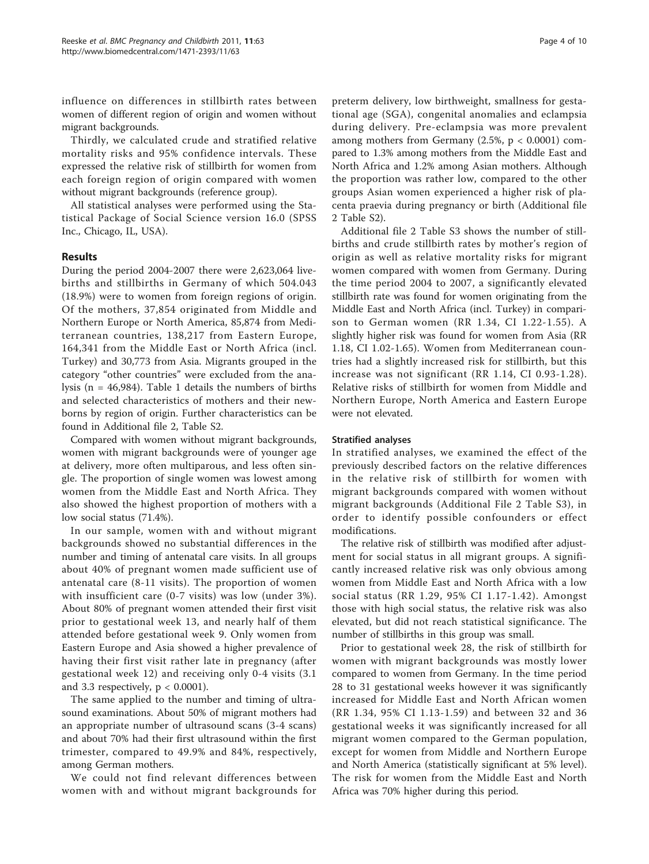influence on differences in stillbirth rates between women of different region of origin and women without migrant backgrounds.

Thirdly, we calculated crude and stratified relative mortality risks and 95% confidence intervals. These expressed the relative risk of stillbirth for women from each foreign region of origin compared with women without migrant backgrounds (reference group).

All statistical analyses were performed using the Statistical Package of Social Science version 16.0 (SPSS Inc., Chicago, IL, USA).

#### Results

During the period 2004-2007 there were 2,623,064 livebirths and stillbirths in Germany of which 504.043 (18.9%) were to women from foreign regions of origin. Of the mothers, 37,854 originated from Middle and Northern Europe or North America, 85,874 from Mediterranean countries, 138,217 from Eastern Europe, 164,341 from the Middle East or North Africa (incl. Turkey) and 30,773 from Asia. Migrants grouped in the category "other countries" were excluded from the analysis (n = 46,984). Table [1](#page-4-0) details the numbers of births and selected characteristics of mothers and their newborns by region of origin. Further characteristics can be found in Additional file [2,](#page-8-0) Table S2.

Compared with women without migrant backgrounds, women with migrant backgrounds were of younger age at delivery, more often multiparous, and less often single. The proportion of single women was lowest among women from the Middle East and North Africa. They also showed the highest proportion of mothers with a low social status (71.4%).

In our sample, women with and without migrant backgrounds showed no substantial differences in the number and timing of antenatal care visits. In all groups about 40% of pregnant women made sufficient use of antenatal care (8-11 visits). The proportion of women with insufficient care (0-7 visits) was low (under 3%). About 80% of pregnant women attended their first visit prior to gestational week 13, and nearly half of them attended before gestational week 9. Only women from Eastern Europe and Asia showed a higher prevalence of having their first visit rather late in pregnancy (after gestational week 12) and receiving only 0-4 visits (3.1 and 3.3 respectively,  $p < 0.0001$ ).

The same applied to the number and timing of ultrasound examinations. About 50% of migrant mothers had an appropriate number of ultrasound scans (3-4 scans) and about 70% had their first ultrasound within the first trimester, compared to 49.9% and 84%, respectively, among German mothers.

We could not find relevant differences between women with and without migrant backgrounds for

preterm delivery, low birthweight, smallness for gestational age (SGA), congenital anomalies and eclampsia during delivery. Pre-eclampsia was more prevalent among mothers from Germany  $(2.5\% , p < 0.0001)$  compared to 1.3% among mothers from the Middle East and North Africa and 1.2% among Asian mothers. Although the proportion was rather low, compared to the other groups Asian women experienced a higher risk of placenta praevia during pregnancy or birth (Additional file [2](#page-8-0) Table S2).

Additional file [2](#page-8-0) Table S3 shows the number of stillbirths and crude stillbirth rates by mother's region of origin as well as relative mortality risks for migrant women compared with women from Germany. During the time period 2004 to 2007, a significantly elevated stillbirth rate was found for women originating from the Middle East and North Africa (incl. Turkey) in comparison to German women (RR 1.34, CI 1.22-1.55). A slightly higher risk was found for women from Asia (RR 1.18, CI 1.02-1.65). Women from Mediterranean countries had a slightly increased risk for stillbirth, but this increase was not significant (RR 1.14, CI 0.93-1.28). Relative risks of stillbirth for women from Middle and Northern Europe, North America and Eastern Europe were not elevated.

#### Stratified analyses

In stratified analyses, we examined the effect of the previously described factors on the relative differences in the relative risk of stillbirth for women with migrant backgrounds compared with women without migrant backgrounds (Additional File [2](#page-8-0) Table S3), in order to identify possible confounders or effect modifications.

The relative risk of stillbirth was modified after adjustment for social status in all migrant groups. A significantly increased relative risk was only obvious among women from Middle East and North Africa with a low social status (RR 1.29, 95% CI 1.17-1.42). Amongst those with high social status, the relative risk was also elevated, but did not reach statistical significance. The number of stillbirths in this group was small.

Prior to gestational week 28, the risk of stillbirth for women with migrant backgrounds was mostly lower compared to women from Germany. In the time period 28 to 31 gestational weeks however it was significantly increased for Middle East and North African women (RR 1.34, 95% CI 1.13-1.59) and between 32 and 36 gestational weeks it was significantly increased for all migrant women compared to the German population, except for women from Middle and Northern Europe and North America (statistically significant at 5% level). The risk for women from the Middle East and North Africa was 70% higher during this period.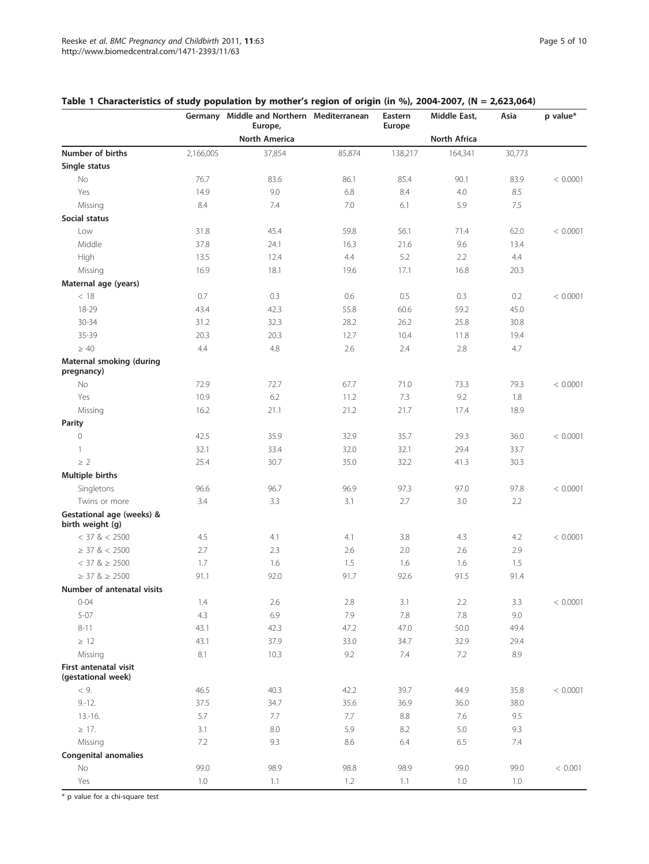|                                               | . .       | Germany Middle and Northern Mediterranean<br>Europe, |        | Eastern<br>Europe | Middle East, | Asia   | p value* |
|-----------------------------------------------|-----------|------------------------------------------------------|--------|-------------------|--------------|--------|----------|
|                                               |           | North America                                        |        |                   | North Africa |        |          |
| Number of births                              | 2,166,005 | 37,854                                               | 85,874 | 138,217           | 164,341      | 30,773 |          |
| Single status                                 |           |                                                      |        |                   |              |        |          |
| No                                            | 76.7      | 83.6                                                 | 86.1   | 85.4              | 90.1         | 83.9   | < 0.0001 |
| Yes                                           | 14.9      | 9.0                                                  | 6.8    | 8.4               | 4.0          | 8.5    |          |
| Missing                                       | 8.4       | 7.4                                                  | 7.0    | 6.1               | 5.9          | 7.5    |          |
| Social status                                 |           |                                                      |        |                   |              |        |          |
| Low                                           | 31.8      | 45.4                                                 | 59.8   | 56.1              | 71.4         | 62.0   | < 0.0001 |
| Middle                                        | 37.8      | 24.1                                                 | 16.3   | 21.6              | 9.6          | 13.4   |          |
| High                                          | 13.5      | 12.4                                                 | 4.4    | 5.2               | 2.2          | 4.4    |          |
| Missing                                       | 16.9      | 18.1                                                 | 19.6   | 17.1              | 16.8         | 20.3   |          |
| Maternal age (years)                          |           |                                                      |        |                   |              |        |          |
| < 18                                          | 0.7       | 0.3                                                  | 0.6    | 0.5               | 0.3          | 0.2    | < 0.0001 |
| 18-29                                         | 43.4      | 42.3                                                 | 55.8   | 60.6              | 59.2         | 45.0   |          |
| 30-34                                         | 31.2      | 32.3                                                 | 28.2   | 26.2              | 25.8         | 30.8   |          |
| 35-39                                         | 20.3      | 20.3                                                 | 12.7   | 10.4              | 11.8         | 19.4   |          |
| $\geq 40$                                     | 4.4       | 4.8                                                  | 2.6    | 2.4               | 2.8          | 4.7    |          |
| Maternal smoking (during<br>pregnancy)        |           |                                                      |        |                   |              |        |          |
| No                                            | 72.9      | 72.7                                                 | 67.7   | 71.0              | 73.3         | 79.3   | < 0.0001 |
| Yes                                           | 10.9      | 6.2                                                  | 11.2   | 7.3               | 9.2          | 1.8    |          |
| Missing                                       | 16.2      | 21.1                                                 | 21.2   | 21.7              | 17.4         | 18.9   |          |
| Parity                                        |           |                                                      |        |                   |              |        |          |
| 0                                             | 42.5      | 35.9                                                 | 32.9   | 35.7              | 29.3         | 36.0   | < 0.0001 |
| -1                                            | 32.1      | 33.4                                                 | 32.0   | 32.1              | 29.4         | 33.7   |          |
| $\geq 2$                                      | 25.4      | 30.7                                                 | 35.0   | 32.2              | 41.3         | 30.3   |          |
| Multiple births                               |           |                                                      |        |                   |              |        |          |
| Singletons                                    | 96.6      | 96.7                                                 | 96.9   | 97.3              | 97.0         | 97.8   | < 0.0001 |
| Twins or more                                 | 3.4       | 3.3                                                  | 3.1    | 2.7               | 3.0          | 2.2    |          |
| Gestational age (weeks) &<br>birth weight (g) |           |                                                      |        |                   |              |        |          |
| $< 37$ & $< 2500$                             | 4.5       | 4.1                                                  | 4.1    | 3.8               | 4.3          | 4.2    | < 0.0001 |
| $\geq$ 37 & < 2500                            | 2.7       | 2.3                                                  | 2.6    | 2.0               | 2.6          | 2.9    |          |
| $<$ 37 & $\geq$ 2500                          | 1.7       | 1.6                                                  | 1.5    | 1.6               | 1.6          | 1.5    |          |
| $\geq$ 37 & $\geq$ 2500                       | 91.1      | 92.0                                                 | 91.7   | 92.6              | 91.5         | 91.4   |          |
| Number of antenatal visits                    |           |                                                      |        |                   |              |        |          |
| $0 - 04$                                      | 1.4       | 2.6                                                  | 2.8    | 3.1               | 2.2          | 3.3    | < 0.0001 |
| $5 - 07$                                      | 4.3       | 6.9                                                  | 7.9    | 7.8               | $7.8\,$      | 9.0    |          |
| $8 - 11$                                      | 43.1      | 42.3                                                 | 47.2   | 47.0              | 50.0         | 49.4   |          |
| $\geq 12$                                     | 43.1      | 37.9                                                 | 33.0   | 34.7              | 32.9         | 29.4   |          |
| Missing                                       | 8.1       | 10.3                                                 | 9.2    | 7.4               | 7.2          | 8.9    |          |
| First antenatal visit<br>(gestational week)   |           |                                                      |        |                   |              |        |          |
| $<9.$                                         | 46.5      | 40.3                                                 | 42.2   | 39.7              | 44.9         | 35.8   | < 0.0001 |
| $9 - 12.$                                     | 37.5      | 34.7                                                 | 35.6   | 36.9              | 36.0         | 38.0   |          |
| $13.-16.$                                     | 5.7       | 7.7                                                  | 7.7    | $8.8\,$           | 7.6          | 9.5    |          |
| $\geq$ 17.                                    | 3.1       | 8.0                                                  | 5.9    | 8.2               | $5.0\,$      | 9.3    |          |
| Missing                                       | 7.2       | 9.3                                                  | 8.6    | 6.4               | 6.5          | 7.4    |          |
| <b>Congenital anomalies</b>                   |           |                                                      |        |                   |              |        |          |
| No                                            | 99.0      | 98.9                                                 | 98.8   | 98.9              | 99.0         | 99.0   | < 0.001  |
| Yes                                           | 1.0       | 1.1                                                  | 1.2    | 1.1               | 1.0          | 1.0    |          |

<span id="page-4-0"></span>

| Table 1 Characteristics of study population by mother's region of origin (in %), 2004-2007, (N = 2,623,064) |  |  |  |  |  |
|-------------------------------------------------------------------------------------------------------------|--|--|--|--|--|
|-------------------------------------------------------------------------------------------------------------|--|--|--|--|--|

\* p value for a chi-square test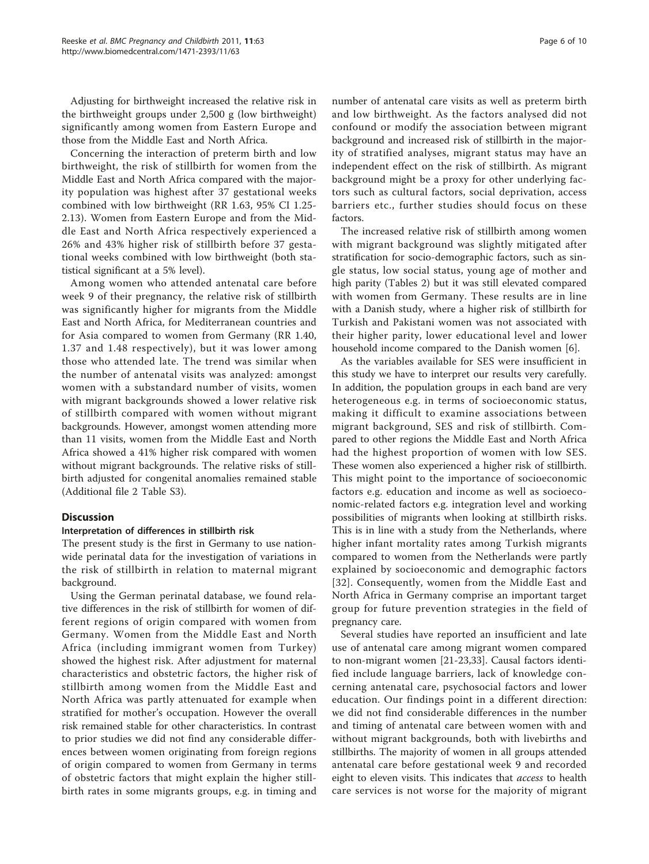Adjusting for birthweight increased the relative risk in the birthweight groups under 2,500 g (low birthweight) significantly among women from Eastern Europe and those from the Middle East and North Africa.

Concerning the interaction of preterm birth and low birthweight, the risk of stillbirth for women from the Middle East and North Africa compared with the majority population was highest after 37 gestational weeks combined with low birthweight (RR 1.63, 95% CI 1.25- 2.13). Women from Eastern Europe and from the Middle East and North Africa respectively experienced a 26% and 43% higher risk of stillbirth before 37 gestational weeks combined with low birthweight (both statistical significant at a 5% level).

Among women who attended antenatal care before week 9 of their pregnancy, the relative risk of stillbirth was significantly higher for migrants from the Middle East and North Africa, for Mediterranean countries and for Asia compared to women from Germany (RR 1.40, 1.37 and 1.48 respectively), but it was lower among those who attended late. The trend was similar when the number of antenatal visits was analyzed: amongst women with a substandard number of visits, women with migrant backgrounds showed a lower relative risk of stillbirth compared with women without migrant backgrounds. However, amongst women attending more than 11 visits, women from the Middle East and North Africa showed a 41% higher risk compared with women without migrant backgrounds. The relative risks of stillbirth adjusted for congenital anomalies remained stable (Additional file [2](#page-8-0) Table S3).

## **Discussion**

#### Interpretation of differences in stillbirth risk

The present study is the first in Germany to use nationwide perinatal data for the investigation of variations in the risk of stillbirth in relation to maternal migrant background.

Using the German perinatal database, we found relative differences in the risk of stillbirth for women of different regions of origin compared with women from Germany. Women from the Middle East and North Africa (including immigrant women from Turkey) showed the highest risk. After adjustment for maternal characteristics and obstetric factors, the higher risk of stillbirth among women from the Middle East and North Africa was partly attenuated for example when stratified for mother's occupation. However the overall risk remained stable for other characteristics. In contrast to prior studies we did not find any considerable differences between women originating from foreign regions of origin compared to women from Germany in terms of obstetric factors that might explain the higher stillbirth rates in some migrants groups, e.g. in timing and

number of antenatal care visits as well as preterm birth and low birthweight. As the factors analysed did not confound or modify the association between migrant background and increased risk of stillbirth in the majority of stratified analyses, migrant status may have an independent effect on the risk of stillbirth. As migrant background might be a proxy for other underlying factors such as cultural factors, social deprivation, access barriers etc., further studies should focus on these factors.

The increased relative risk of stillbirth among women with migrant background was slightly mitigated after stratification for socio-demographic factors, such as single status, low social status, young age of mother and high parity (Tables 2) but it was still elevated compared with women from Germany. These results are in line with a Danish study, where a higher risk of stillbirth for Turkish and Pakistani women was not associated with their higher parity, lower educational level and lower household income compared to the Danish women [\[6](#page-8-0)].

As the variables available for SES were insufficient in this study we have to interpret our results very carefully. In addition, the population groups in each band are very heterogeneous e.g. in terms of socioeconomic status, making it difficult to examine associations between migrant background, SES and risk of stillbirth. Compared to other regions the Middle East and North Africa had the highest proportion of women with low SES. These women also experienced a higher risk of stillbirth. This might point to the importance of socioeconomic factors e.g. education and income as well as socioeconomic-related factors e.g. integration level and working possibilities of migrants when looking at stillbirth risks. This is in line with a study from the Netherlands, where higher infant mortality rates among Turkish migrants compared to women from the Netherlands were partly explained by socioeconomic and demographic factors [[32](#page-9-0)]. Consequently, women from the Middle East and North Africa in Germany comprise an important target group for future prevention strategies in the field of pregnancy care.

Several studies have reported an insufficient and late use of antenatal care among migrant women compared to non-migrant women [\[21](#page-9-0)-[23](#page-9-0),[33](#page-9-0)]. Causal factors identified include language barriers, lack of knowledge concerning antenatal care, psychosocial factors and lower education. Our findings point in a different direction: we did not find considerable differences in the number and timing of antenatal care between women with and without migrant backgrounds, both with livebirths and stillbirths. The majority of women in all groups attended antenatal care before gestational week 9 and recorded eight to eleven visits. This indicates that access to health care services is not worse for the majority of migrant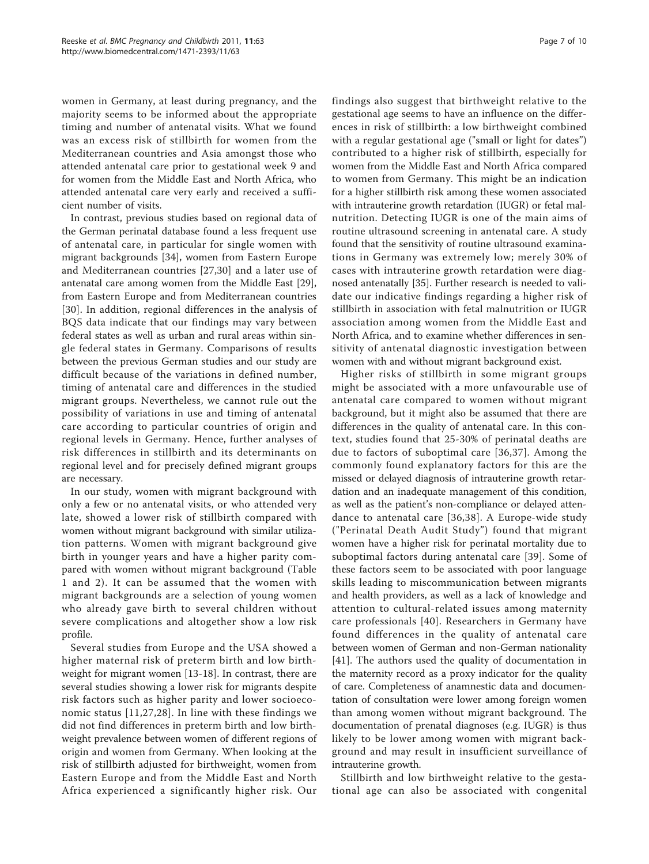women in Germany, at least during pregnancy, and the majority seems to be informed about the appropriate timing and number of antenatal visits. What we found was an excess risk of stillbirth for women from the Mediterranean countries and Asia amongst those who attended antenatal care prior to gestational week 9 and for women from the Middle East and North Africa, who attended antenatal care very early and received a sufficient number of visits.

In contrast, previous studies based on regional data of the German perinatal database found a less frequent use of antenatal care, in particular for single women with migrant backgrounds [[34](#page-9-0)], women from Eastern Europe and Mediterranean countries [[27,30](#page-9-0)] and a later use of antenatal care among women from the Middle East [[29](#page-9-0)], from Eastern Europe and from Mediterranean countries [[30](#page-9-0)]. In addition, regional differences in the analysis of BQS data indicate that our findings may vary between federal states as well as urban and rural areas within single federal states in Germany. Comparisons of results between the previous German studies and our study are difficult because of the variations in defined number, timing of antenatal care and differences in the studied migrant groups. Nevertheless, we cannot rule out the possibility of variations in use and timing of antenatal care according to particular countries of origin and regional levels in Germany. Hence, further analyses of risk differences in stillbirth and its determinants on regional level and for precisely defined migrant groups are necessary.

In our study, women with migrant background with only a few or no antenatal visits, or who attended very late, showed a lower risk of stillbirth compared with women without migrant background with similar utilization patterns. Women with migrant background give birth in younger years and have a higher parity compared with women without migrant background (Table [1](#page-4-0) and 2). It can be assumed that the women with migrant backgrounds are a selection of young women who already gave birth to several children without severe complications and altogether show a low risk profile.

Several studies from Europe and the USA showed a higher maternal risk of preterm birth and low birthweight for migrant women [[13](#page-8-0)-[18\]](#page-9-0). In contrast, there are several studies showing a lower risk for migrants despite risk factors such as higher parity and lower socioeconomic status [[11,](#page-8-0)[27](#page-9-0),[28](#page-9-0)]. In line with these findings we did not find differences in preterm birth and low birthweight prevalence between women of different regions of origin and women from Germany. When looking at the risk of stillbirth adjusted for birthweight, women from Eastern Europe and from the Middle East and North Africa experienced a significantly higher risk. Our findings also suggest that birthweight relative to the gestational age seems to have an influence on the differences in risk of stillbirth: a low birthweight combined with a regular gestational age ("small or light for dates") contributed to a higher risk of stillbirth, especially for women from the Middle East and North Africa compared to women from Germany. This might be an indication for a higher stillbirth risk among these women associated with intrauterine growth retardation (IUGR) or fetal malnutrition. Detecting IUGR is one of the main aims of routine ultrasound screening in antenatal care. A study found that the sensitivity of routine ultrasound examinations in Germany was extremely low; merely 30% of cases with intrauterine growth retardation were diagnosed antenatally [\[35](#page-9-0)]. Further research is needed to validate our indicative findings regarding a higher risk of stillbirth in association with fetal malnutrition or IUGR association among women from the Middle East and North Africa, and to examine whether differences in sensitivity of antenatal diagnostic investigation between women with and without migrant background exist.

Higher risks of stillbirth in some migrant groups might be associated with a more unfavourable use of antenatal care compared to women without migrant background, but it might also be assumed that there are differences in the quality of antenatal care. In this context, studies found that 25-30% of perinatal deaths are due to factors of suboptimal care [[36,37\]](#page-9-0). Among the commonly found explanatory factors for this are the missed or delayed diagnosis of intrauterine growth retardation and an inadequate management of this condition, as well as the patient's non-compliance or delayed attendance to antenatal care [[36](#page-9-0),[38](#page-9-0)]. A Europe-wide study ("Perinatal Death Audit Study") found that migrant women have a higher risk for perinatal mortality due to suboptimal factors during antenatal care [[39\]](#page-9-0). Some of these factors seem to be associated with poor language skills leading to miscommunication between migrants and health providers, as well as a lack of knowledge and attention to cultural-related issues among maternity care professionals [\[40\]](#page-9-0). Researchers in Germany have found differences in the quality of antenatal care between women of German and non-German nationality [[41](#page-9-0)]. The authors used the quality of documentation in the maternity record as a proxy indicator for the quality of care. Completeness of anamnestic data and documentation of consultation were lower among foreign women than among women without migrant background. The documentation of prenatal diagnoses (e.g. IUGR) is thus likely to be lower among women with migrant background and may result in insufficient surveillance of intrauterine growth.

Stillbirth and low birthweight relative to the gestational age can also be associated with congenital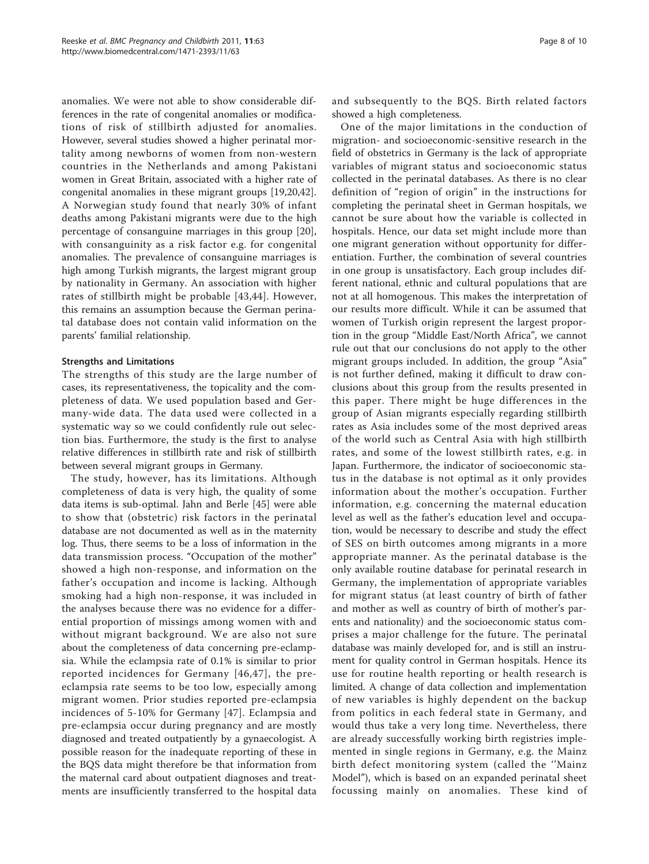anomalies. We were not able to show considerable differences in the rate of congenital anomalies or modifications of risk of stillbirth adjusted for anomalies. However, several studies showed a higher perinatal mortality among newborns of women from non-western countries in the Netherlands and among Pakistani women in Great Britain, associated with a higher rate of congenital anomalies in these migrant groups [\[19,20,42](#page-9-0)]. A Norwegian study found that nearly 30% of infant deaths among Pakistani migrants were due to the high percentage of consanguine marriages in this group [\[20](#page-9-0)], with consanguinity as a risk factor e.g. for congenital anomalies. The prevalence of consanguine marriages is high among Turkish migrants, the largest migrant group by nationality in Germany. An association with higher rates of stillbirth might be probable [\[43,44](#page-9-0)]. However, this remains an assumption because the German perinatal database does not contain valid information on the parents' familial relationship.

## Strengths and Limitations

The strengths of this study are the large number of cases, its representativeness, the topicality and the completeness of data. We used population based and Germany-wide data. The data used were collected in a systematic way so we could confidently rule out selection bias. Furthermore, the study is the first to analyse relative differences in stillbirth rate and risk of stillbirth between several migrant groups in Germany.

The study, however, has its limitations. Although completeness of data is very high, the quality of some data items is sub-optimal. Jahn and Berle [[45\]](#page-9-0) were able to show that (obstetric) risk factors in the perinatal database are not documented as well as in the maternity log. Thus, there seems to be a loss of information in the data transmission process. "Occupation of the mother" showed a high non-response, and information on the father's occupation and income is lacking. Although smoking had a high non-response, it was included in the analyses because there was no evidence for a differential proportion of missings among women with and without migrant background. We are also not sure about the completeness of data concerning pre-eclampsia. While the eclampsia rate of 0.1% is similar to prior reported incidences for Germany [\[46](#page-9-0),[47\]](#page-9-0), the preeclampsia rate seems to be too low, especially among migrant women. Prior studies reported pre-eclampsia incidences of 5-10% for Germany [[47](#page-9-0)]. Eclampsia and pre-eclampsia occur during pregnancy and are mostly diagnosed and treated outpatiently by a gynaecologist. A possible reason for the inadequate reporting of these in the BQS data might therefore be that information from the maternal card about outpatient diagnoses and treatments are insufficiently transferred to the hospital data and subsequently to the BQS. Birth related factors showed a high completeness.

One of the major limitations in the conduction of migration- and socioeconomic-sensitive research in the field of obstetrics in Germany is the lack of appropriate variables of migrant status and socioeconomic status collected in the perinatal databases. As there is no clear definition of "region of origin" in the instructions for completing the perinatal sheet in German hospitals, we cannot be sure about how the variable is collected in hospitals. Hence, our data set might include more than one migrant generation without opportunity for differentiation. Further, the combination of several countries in one group is unsatisfactory. Each group includes different national, ethnic and cultural populations that are not at all homogenous. This makes the interpretation of our results more difficult. While it can be assumed that women of Turkish origin represent the largest proportion in the group "Middle East/North Africa", we cannot rule out that our conclusions do not apply to the other migrant groups included. In addition, the group "Asia" is not further defined, making it difficult to draw conclusions about this group from the results presented in this paper. There might be huge differences in the group of Asian migrants especially regarding stillbirth rates as Asia includes some of the most deprived areas of the world such as Central Asia with high stillbirth rates, and some of the lowest stillbirth rates, e.g. in Japan. Furthermore, the indicator of socioeconomic status in the database is not optimal as it only provides information about the mother's occupation. Further information, e.g. concerning the maternal education level as well as the father's education level and occupation, would be necessary to describe and study the effect of SES on birth outcomes among migrants in a more appropriate manner. As the perinatal database is the only available routine database for perinatal research in Germany, the implementation of appropriate variables for migrant status (at least country of birth of father and mother as well as country of birth of mother's parents and nationality) and the socioeconomic status comprises a major challenge for the future. The perinatal database was mainly developed for, and is still an instrument for quality control in German hospitals. Hence its use for routine health reporting or health research is limited. A change of data collection and implementation of new variables is highly dependent on the backup from politics in each federal state in Germany, and would thus take a very long time. Nevertheless, there are already successfully working birth registries implemented in single regions in Germany, e.g. the Mainz birth defect monitoring system (called the ''Mainz Model"), which is based on an expanded perinatal sheet focussing mainly on anomalies. These kind of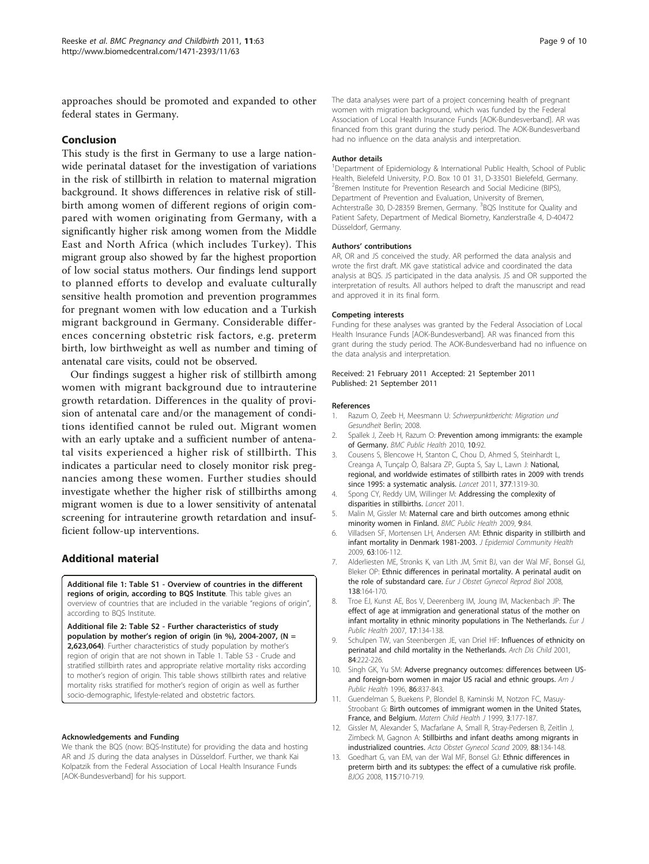<span id="page-8-0"></span>approaches should be promoted and expanded to other federal states in Germany.

#### Conclusion

This study is the first in Germany to use a large nationwide perinatal dataset for the investigation of variations in the risk of stillbirth in relation to maternal migration background. It shows differences in relative risk of stillbirth among women of different regions of origin compared with women originating from Germany, with a significantly higher risk among women from the Middle East and North Africa (which includes Turkey). This migrant group also showed by far the highest proportion of low social status mothers. Our findings lend support to planned efforts to develop and evaluate culturally sensitive health promotion and prevention programmes for pregnant women with low education and a Turkish migrant background in Germany. Considerable differences concerning obstetric risk factors, e.g. preterm birth, low birthweight as well as number and timing of antenatal care visits, could not be observed.

Our findings suggest a higher risk of stillbirth among women with migrant background due to intrauterine growth retardation. Differences in the quality of provision of antenatal care and/or the management of conditions identified cannot be ruled out. Migrant women with an early uptake and a sufficient number of antenatal visits experienced a higher risk of stillbirth. This indicates a particular need to closely monitor risk pregnancies among these women. Further studies should investigate whether the higher risk of stillbirths among migrant women is due to a lower sensitivity of antenatal screening for intrauterine growth retardation and insufficient follow-up interventions.

## Additional material

[Additional file 1: T](http://www.biomedcentral.com/content/supplementary/1471-2393-11-63-S1.DOC)able S1 - Overview of countries in the different regions of origin, according to BQS Institute. This table gives an overview of countries that are included in the variable "regions of origin", according to BQS Institute.

[Additional file 2: T](http://www.biomedcentral.com/content/supplementary/1471-2393-11-63-S2.DOC)able S2 - Further characteristics of study population by mother's region of origin (in %), 2004-2007, (N = 2,623,064). Further characteristics of study population by mother's region of origin that are not shown in Table 1. Table S3 - Crude and stratified stillbirth rates and appropriate relative mortality risks according to mother's region of origin. This table shows stillbirth rates and relative mortality risks stratified for mother's region of origin as well as further socio-demographic, lifestyle-related and obstetric factors.

#### Acknowledgements and Funding

We thank the BQS (now: BQS-Institute) for providing the data and hosting AR and JS during the data analyses in Düsseldorf. Further, we thank Kai Kolpatzik from the Federal Association of Local Health Insurance Funds [AOK-Bundesverband] for his support.

The data analyses were part of a project concerning health of pregnant women with migration background, which was funded by the Federal Association of Local Health Insurance Funds [AOK-Bundesverband]. AR was financed from this grant during the study period. The AOK-Bundesverband had no influence on the data analysis and interpretation.

#### Author details

<sup>1</sup>Department of Epidemiology & International Public Health, School of Public Health, Bielefeld University, P.O. Box 10 01 31, D-33501 Bielefeld, Germany. 2 Bremen Institute for Prevention Research and Social Medicine (BIPS), Department of Prevention and Evaluation, University of Bremen, Achterstraße 30, D-28359 Bremen, Germany. <sup>3</sup>BQS Institute for Quality and Patient Safety, Department of Medical Biometry, Kanzlerstraße 4, D-40472 Düsseldorf, Germany.

#### Authors' contributions

AR, OR and JS conceived the study. AR performed the data analysis and wrote the first draft. MK gave statistical advice and coordinated the data analysis at BQS. JS participated in the data analysis. JS and OR supported the interpretation of results. All authors helped to draft the manuscript and read and approved it in its final form.

#### Competing interests

Funding for these analyses was granted by the Federal Association of Local Health Insurance Funds [AOK-Bundesverband]. AR was financed from this grant during the study period. The AOK-Bundesverband had no influence on the data analysis and interpretation.

#### Received: 21 February 2011 Accepted: 21 September 2011 Published: 21 September 2011

#### References

- 1. Razum O, Zeeb H, Meesmann U: Schwerpunktbericht: Migration und Gesundheit Berlin; 2008.
- 2. Spallek J, Zeeb H, Razum O: [Prevention among immigrants: the example](http://www.ncbi.nlm.nih.gov/pubmed/20181232?dopt=Abstract) [of Germany.](http://www.ncbi.nlm.nih.gov/pubmed/20181232?dopt=Abstract) BMC Public Health 2010, 10:92.
- Cousens S, Blencowe H, Stanton C, Chou D, Ahmed S, Steinhardt L, Creanga A, Tunçalp Ö, Balsara ZP, Gupta S, Say L, Lawn J: [National,](http://www.ncbi.nlm.nih.gov/pubmed/21496917?dopt=Abstract) [regional, and worldwide estimates of stillbirth rates in 2009 with trends](http://www.ncbi.nlm.nih.gov/pubmed/21496917?dopt=Abstract) [since 1995: a systematic analysis.](http://www.ncbi.nlm.nih.gov/pubmed/21496917?dopt=Abstract) Lancet 2011, 377:1319-30.
- 4. Spong CY, Reddy UM, Willinger M: Addressing the complexity of disparities in stillbirths. Lancet 2011.
- 5. Malin M, Gissler M: [Maternal care and birth outcomes among ethnic](http://www.ncbi.nlm.nih.gov/pubmed/19298682?dopt=Abstract) [minority women in Finland.](http://www.ncbi.nlm.nih.gov/pubmed/19298682?dopt=Abstract) BMC Public Health 2009, 9:84.
- 6. Villadsen SF, Mortensen LH, Andersen AM: [Ethnic disparity in stillbirth and](http://www.ncbi.nlm.nih.gov/pubmed/18930979?dopt=Abstract) [infant mortality in Denmark 1981-2003.](http://www.ncbi.nlm.nih.gov/pubmed/18930979?dopt=Abstract) J Epidemiol Community Health 2009, 63:106-112.
- 7. Alderliesten ME, Stronks K, van Lith JM, Smit BJ, van der Wal MF, Bonsel GJ, Bleker OP: [Ethnic differences in perinatal mortality. A perinatal audit on](http://www.ncbi.nlm.nih.gov/pubmed/17983701?dopt=Abstract) [the role of substandard care.](http://www.ncbi.nlm.nih.gov/pubmed/17983701?dopt=Abstract) Eur J Obstet Gynecol Reprod Biol 2008, 138:164-170.
- 8. Troe EJ, Kunst AE, Bos V, Deerenberg IM, Joung IM, Mackenbach JP: [The](http://www.ncbi.nlm.nih.gov/pubmed/16877451?dopt=Abstract) [effect of age at immigration and generational status of the mother on](http://www.ncbi.nlm.nih.gov/pubmed/16877451?dopt=Abstract) [infant mortality in ethnic minority populations in The Netherlands.](http://www.ncbi.nlm.nih.gov/pubmed/16877451?dopt=Abstract) Eur J Public Health 2007, 17:134-138.
- 9. Schulpen TW, van Steenbergen JF, van Driel HF: [Influences of ethnicity on](http://www.ncbi.nlm.nih.gov/pubmed/11207169?dopt=Abstract) [perinatal and child mortality in the Netherlands.](http://www.ncbi.nlm.nih.gov/pubmed/11207169?dopt=Abstract) Arch Dis Child 2001, 84:222-226.
- 10. Singh GK, Yu SM: [Adverse pregnancy outcomes: differences between US](http://www.ncbi.nlm.nih.gov/pubmed/8659659?dopt=Abstract)[and foreign-born women in major US racial and ethnic groups.](http://www.ncbi.nlm.nih.gov/pubmed/8659659?dopt=Abstract) Am J Public Health 1996, 86:837-843.
- 11. Guendelman S, Buekens P, Blondel B, Kaminski M, Notzon FC, Masuy-Stroobant G: [Birth outcomes of immigrant women in the United States,](http://www.ncbi.nlm.nih.gov/pubmed/10791358?dopt=Abstract) [France, and Belgium.](http://www.ncbi.nlm.nih.gov/pubmed/10791358?dopt=Abstract) Matern Child Health J 1999, 3:177-187.
- 12. Gissler M, Alexander S, Macfarlane A, Small R, Stray-Pedersen B, Zeitlin J, Zimbeck M, Gagnon A: [Stillbirths and infant deaths among migrants in](http://www.ncbi.nlm.nih.gov/pubmed/19096947?dopt=Abstract) [industrialized countries.](http://www.ncbi.nlm.nih.gov/pubmed/19096947?dopt=Abstract) Acta Obstet Gynecol Scand 2009, 88:134-148.
- 13. Goedhart G, van EM, van der Wal MF, Bonsel GJ: [Ethnic differences in](http://www.ncbi.nlm.nih.gov/pubmed/18410654?dopt=Abstract) [preterm birth and its subtypes: the effect of a cumulative risk profile.](http://www.ncbi.nlm.nih.gov/pubmed/18410654?dopt=Abstract) BJOG 2008, 115:710-719.